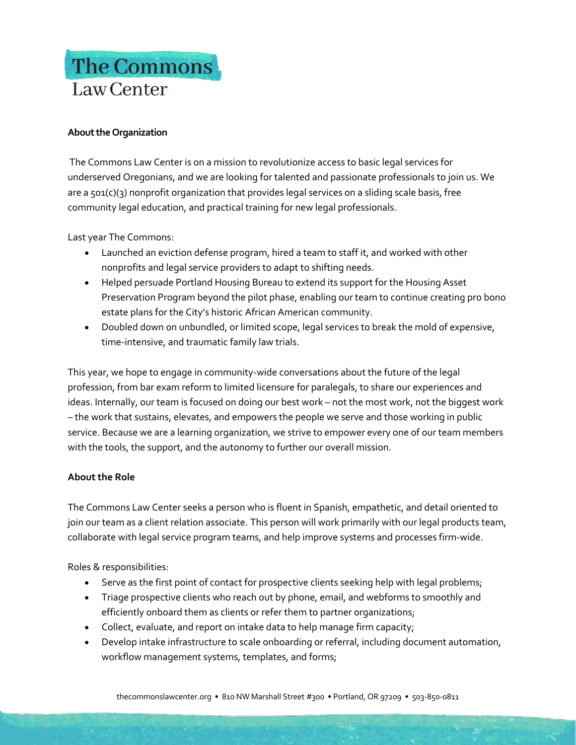# The Commons Law Center

# **About the Organization**

The Commons Law Center is on a mission to revolutionize access to basic legal services for underserved Oregonians, and we are looking for talented and passionate professionals to join us. We are a 501(c)(3) nonprofit organization that provides legal services on a sliding scale basis, free community legal education, and practical training for new legal professionals.

Last year The Commons:

- Launched an eviction defense program, hired a team to staff it, and worked with other nonprofits and legal service providers to adapt to shifting needs.
- Helped persuade Portland Housing Bureau to extend its support for the Housing Asset Preservation Program beyond the pilot phase, enabling our team to continue creating pro bono estate plans for the City's historic African American community.
- Doubled down on unbundled, or limited scope, legal services to break the mold of expensive, time-intensive, and traumatic family law trials.

This year, we hope to engage in community-wide conversations about the future of the legal profession, from bar exam reform to limited licensure for paralegals, to share our experiences and ideas. Internally, our team is focused on doing our best work – not the most work, not the biggest work – the work that sustains, elevates, and empowers the people we serve and those working in public service. Because we are a learning organization, we strive to empower every one of our team members with the tools, the support, and the autonomy to further our overall mission.

# **About the Role**

The Commons Law Center seeks a person who is fluent in Spanish, empathetic, and detail oriented to join our team as a client relation associate. This person will work primarily with our legal products team, collaborate with legal service program teams, and help improve systems and processes firm-wide.

Roles & responsibilities:

- Serve as the first point of contact for prospective clients seeking help with legal problems;
- Triage prospective clients who reach out by phone, email, and webforms to smoothly and efficiently onboard them as clients or refer them to partner organizations;
- Collect, evaluate, and report on intake data to help manage firm capacity;
- Develop intake infrastructure to scale onboarding or referral, including document automation, workflow management systems, templates, and forms;